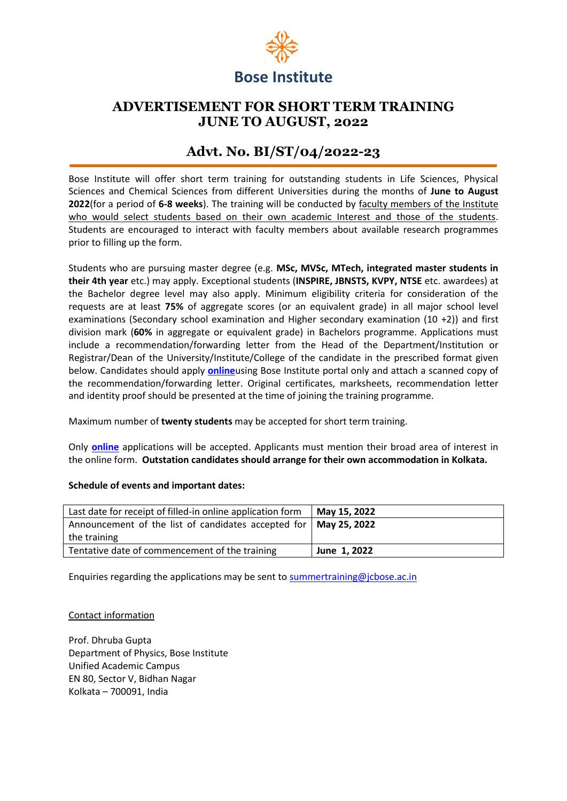

## **ADVERTISEMENT FOR SHORT TERM TRAINING JUNE TO AUGUST, 2022**

## **Advt. No. BI/ST/04/2022-23**

Bose Institute will offer short term training for outstanding students in Life Sciences, Physical Sciences and Chemical Sciences from different Universities during the months of **June to August 2022**(for a period of **6-8 weeks**). The training will be conducted by faculty members of the Institute who would select students based on their own academic Interest and those of the students. Students are encouraged to interact with faculty members about available research programmes prior to filling up the form.

Students who are pursuing master degree (e.g. **MSc, MVSc, MTech, integrated master students in their 4th year** etc.) may apply. Exceptional students (**INSPIRE, JBNSTS, KVPY, NTSE** etc. awardees) at the Bachelor degree level may also apply. Minimum eligibility criteria for consideration of the requests are at least **75%** of aggregate scores (or an equivalent grade) in all major school level examinations (Secondary school examination and Higher secondary examination (10 +2)) and first division mark (**60%** in aggregate or equivalent grade) in Bachelors programme. Applications must include a recommendation/forwarding letter from the Head of the Department/Institution or Registrar/Dean of the University/Institute/College of the candidate in the prescribed format given below. Candidates should apply **[online](http://www.jcbose.ac.in/applications/summer/sum_train.php)**using Bose Institute portal only and attach a scanned copy of the recommendation/forwarding letter. Original certificates, marksheets, recommendation letter and identity proof should be presented at the time of joining the training programme.

Maximum number of **twenty students** may be accepted for short term training.

Only **[online](http://www.jcbose.ac.in/applications/summer/form.php)** applications will be accepted. Applicants must mention their broad area of interest in the online form. **Outstation candidates should arrange for their own accommodation in Kolkata.**

## **Schedule of events and important dates:**

| Last date for receipt of filled-in online application form | May 15, 2022 |
|------------------------------------------------------------|--------------|
| Announcement of the list of candidates accepted for        | May 25, 2022 |
| the training                                               |              |
| Tentative date of commencement of the training             | June 1, 2022 |

Enquiries regarding the applications may be sent to summertraining @jcbose.ac.in

## Contact information

Prof. Dhruba Gupta Department of Physics, Bose Institute Unified Academic Campus EN 80, Sector V, Bidhan Nagar Kolkata – 700091, India